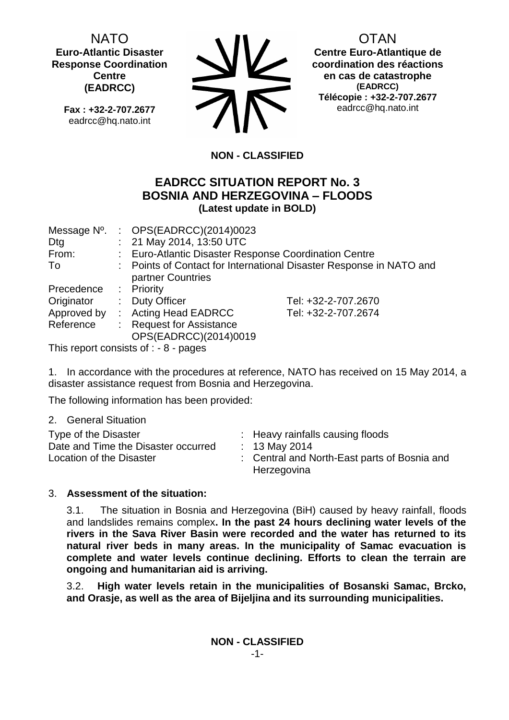NATO **Euro-Atlantic Disaster Response Coordination Centre (EADRCC)**

**Fax : +32-2-707.2677** eadrcc@hq.nato.int



OTAN

**Centre Euro-Atlantique de coordination des réactions en cas de catastrophe (EADRCC) Télécopie : +32-2-707.2677** eadrcc@hq.nato.int

# **NON - CLASSIFIED**

## **EADRCC SITUATION REPORT No. 3 BOSNIA AND HERZEGOVINA – FLOODS (Latest update in BOLD)**

| Message N°. | : $OPS(EADRCC)(2014)0023$                             |                                                                     |
|-------------|-------------------------------------------------------|---------------------------------------------------------------------|
| Dtg         | : 21 May 2014, 13:50 UTC                              |                                                                     |
| From:       | : Euro-Atlantic Disaster Response Coordination Centre |                                                                     |
| To          |                                                       | : Points of Contact for International Disaster Response in NATO and |
|             | partner Countries                                     |                                                                     |
| Precedence  | $\therefore$ Priority                                 |                                                                     |
| Originator  | : Duty Officer                                        | Tel: +32-2-707.2670                                                 |
| Approved by | : Acting Head EADRCC                                  | Tel: +32-2-707.2674                                                 |
| Reference   | : Request for Assistance                              |                                                                     |
|             | OPS(EADRCC)(2014)0019                                 |                                                                     |

This report consists of : - 8 - pages

1. In accordance with the procedures at reference, NATO has received on 15 May 2014, a disaster assistance request from Bosnia and Herzegovina.

The following information has been provided:

2. General Situation

| : Heavy rainfalls causing floods<br>Type of the Disaster<br>Date and Time the Disaster occurred<br>: 13 May 2014<br>Location of the Disaster<br>Herzegovina | : Central and North-East parts of Bosnia and |
|-------------------------------------------------------------------------------------------------------------------------------------------------------------|----------------------------------------------|
|-------------------------------------------------------------------------------------------------------------------------------------------------------------|----------------------------------------------|

### 3. **Assessment of the situation:**

3.1. The situation in Bosnia and Herzegovina (BiH) caused by heavy rainfall, floods and landslides remains complex**. In the past 24 hours declining water levels of the rivers in the Sava River Basin were recorded and the water has returned to its natural river beds in many areas. In the municipality of Samac evacuation is complete and water levels continue declining. Efforts to clean the terrain are ongoing and humanitarian aid is arriving.**

3.2. **High water levels retain in the municipalities of Bosanski Samac, Brcko, and Orasje, as well as the area of Bijeljina and its surrounding municipalities.**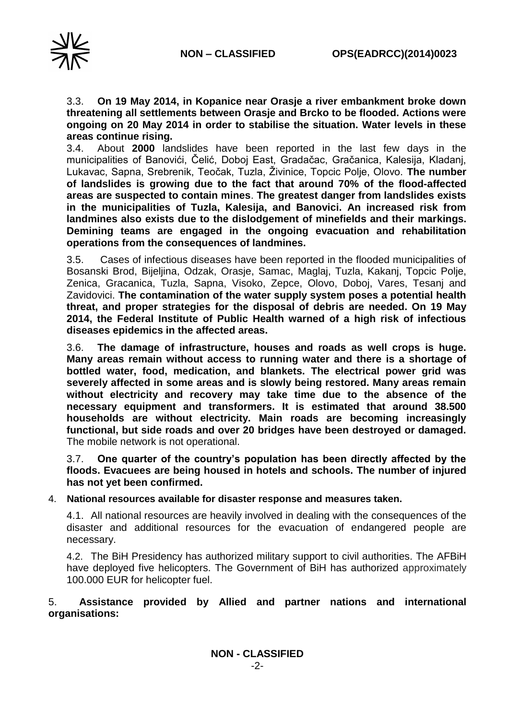

3.3. **On 19 May 2014, in Kopanice near Orasje a river embankment broke down threatening all settlements between Orasje and Brcko to be flooded. Actions were ongoing on 20 May 2014 in order to stabilise the situation. Water levels in these areas continue rising.**

3.4. About **2000** landslides have been reported in the last few days in the municipalities of Banovići, Čelić, Doboj East, Gradačac, Gračanica, Kalesija, Kladanj, Lukavac, Sapna, Srebrenik, Teočak, Tuzla, Živinice, Topcic Polje, Olovo. **The number of landslides is growing due to the fact that around 70% of the flood-affected areas are suspected to contain mines**. **The greatest danger from landslides exists in the municipalities of Tuzla, Kalesija, and Banovici. An increased risk from landmines also exists due to the dislodgement of minefields and their markings. Demining teams are engaged in the ongoing evacuation and rehabilitation operations from the consequences of landmines.**

3.5. Cases of infectious diseases have been reported in the flooded municipalities of Bosanski Brod, Bijeljina, Odzak, Orasje, Samac, Maglaj, Tuzla, Kakanj, Topcic Polje, Zenica, Gracanica, Tuzla, Sapna, Visoko, Zepce, Olovo, Doboj, Vares, Tesanj and Zavidovici. **The contamination of the water supply system poses a potential health threat, and proper strategies for the disposal of debris are needed. On 19 May 2014, the Federal Institute of Public Health warned of a high risk of infectious diseases epidemics in the affected areas.**

3.6. **The damage of infrastructure, houses and roads as well crops is huge. Many areas remain without access to running water and there is a shortage of bottled water, food, medication, and blankets. The electrical power grid was severely affected in some areas and is slowly being restored. Many areas remain without electricity and recovery may take time due to the absence of the necessary equipment and transformers. It is estimated that around 38.500 households are without electricity. Main roads are becoming increasingly functional, but side roads and over 20 bridges have been destroyed or damaged.**  The mobile network is not operational.

3.7. **One quarter of the country's population has been directly affected by the floods. Evacuees are being housed in hotels and schools. The number of injured has not yet been confirmed.**

4. **National resources available for disaster response and measures taken.** 

4.1. All national resources are heavily involved in dealing with the consequences of the disaster and additional resources for the evacuation of endangered people are necessary.

4.2. The BiH Presidency has authorized military support to civil authorities. The AFBiH have deployed five helicopters. The Government of BiH has authorized approximately 100.000 EUR for helicopter fuel.

### 5. **Assistance provided by Allied and partner nations and international organisations:**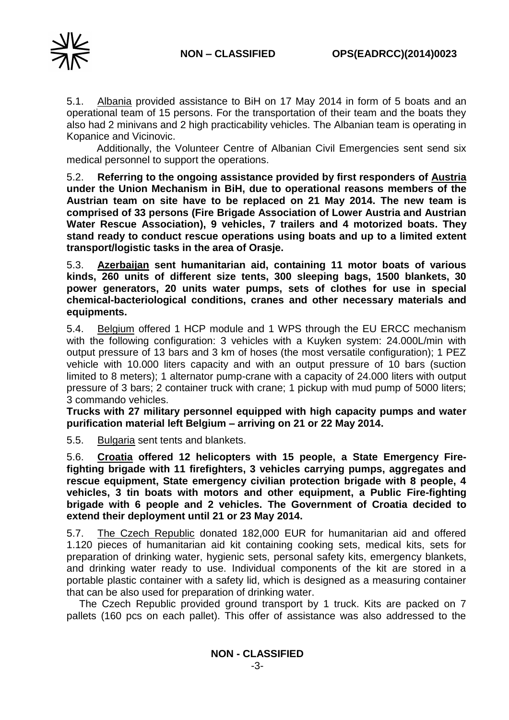

5.1. Albania provided assistance to BiH on 17 May 2014 in form of 5 boats and an operational team of 15 persons. For the transportation of their team and the boats they also had 2 minivans and 2 high practicability vehicles. The Albanian team is operating in Kopanice and Vicinovic.

Additionally, the Volunteer Centre of Albanian Civil Emergencies sent send six medical personnel to support the operations.

5.2. **Referring to the ongoing assistance provided by first responders of Austria under the Union Mechanism in BiH, due to operational reasons members of the Austrian team on site have to be replaced on 21 May 2014. The new team is comprised of 33 persons (Fire Brigade Association of Lower Austria and Austrian Water Rescue Association), 9 vehicles, 7 trailers and 4 motorized boats. They stand ready to conduct rescue operations using boats and up to a limited extent transport/logistic tasks in the area of Orasje.**

5.3. **Azerbaijan sent humanitarian aid, containing 11 motor boats of various kinds, 260 units of different size tents, 300 sleeping bags, 1500 blankets, 30 power generators, 20 units water pumps, sets of clothes for use in special chemical-bacteriological conditions, cranes and other necessary materials and equipments.**

5.4. Belgium offered 1 HCP module and 1 WPS through the EU ERCC mechanism with the following configuration: 3 vehicles with a Kuyken system: 24.000L/min with output pressure of 13 bars and 3 km of hoses (the most versatile configuration); 1 PEZ vehicle with 10.000 liters capacity and with an output pressure of 10 bars (suction limited to 8 meters); 1 alternator pump-crane with a capacity of 24.000 liters with output pressure of 3 bars; 2 container truck with crane; 1 pickup with mud pump of 5000 liters; 3 commando vehicles.

**Trucks with 27 military personnel equipped with high capacity pumps and water purification material left Belgium – arriving on 21 or 22 May 2014.**

5.5. Bulgaria sent tents and blankets.

5.6. **Croatia offered 12 helicopters with 15 people, a State Emergency Firefighting brigade with 11 firefighters, 3 vehicles carrying pumps, aggregates and rescue equipment, State emergency civilian protection brigade with 8 people, 4 vehicles, 3 tin boats with motors and other equipment, a Public Fire-fighting brigade with 6 people and 2 vehicles. The Government of Croatia decided to extend their deployment until 21 or 23 May 2014.**

5.7. The Czech Republic donated 182,000 EUR for humanitarian aid and offered 1.120 pieces of humanitarian aid kit containing cooking sets, medical kits, sets for preparation of drinking water, hygienic sets, personal safety kits, emergency blankets, and drinking water ready to use. Individual components of the kit are stored in a portable plastic container with a safety lid, which is designed as a measuring container that can be also used for preparation of drinking water.

The Czech Republic provided ground transport by 1 truck. Kits are packed on 7 pallets (160 pcs on each pallet). This offer of assistance was also addressed to the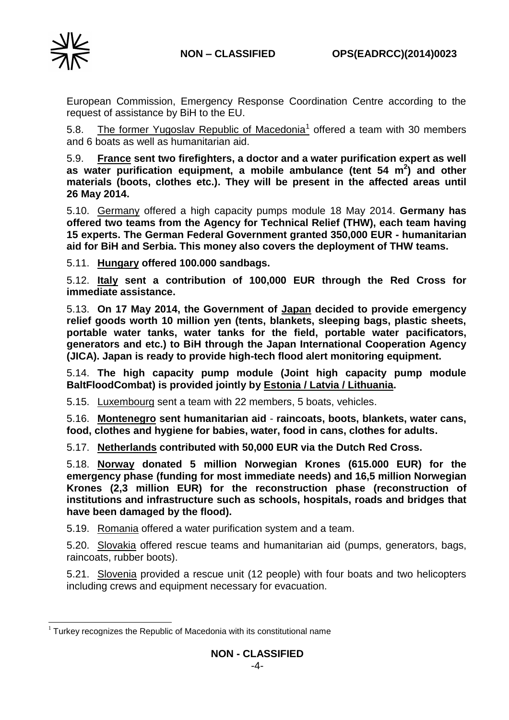

European Commission, Emergency Response Coordination Centre according to the request of assistance by BiH to the EU.

5.8. The former Yugoslav Republic of Macedonia<sup>1</sup> offered a team with 30 members and 6 boats as well as humanitarian aid.

5.9. **France sent two firefighters, a doctor and a water purification expert as well as water purification equipment, a mobile ambulance (tent 54 m 2 ) and other materials (boots, clothes etc.). They will be present in the affected areas until 26 May 2014.**

5.10. Germany offered a high capacity pumps module 18 May 2014. **Germany has offered two teams from the Agency for Technical Relief (THW), each team having 15 experts. The German Federal Government granted 350,000 EUR - humanitarian aid for BiH and Serbia. This money also covers the deployment of THW teams.**

5.11. **Hungary offered 100.000 sandbags.**

5.12. **Italy sent a contribution of 100,000 EUR through the Red Cross for immediate assistance.**

5.13. **On 17 May 2014, the Government of Japan decided to provide emergency relief goods worth 10 million yen (tents, blankets, sleeping bags, plastic sheets, portable water tanks, water tanks for the field, portable water pacificators, generators and etc.) to BiH through the Japan International Cooperation Agency (JICA). Japan is ready to provide high-tech flood alert monitoring equipment.**

5.14. **The high capacity pump module (Joint high capacity pump module BaltFloodCombat) is provided jointly by Estonia / Latvia / Lithuania.**

5.15. Luxembourg sent a team with 22 members, 5 boats, vehicles.

5.16. **Montenegro sent humanitarian aid** - **raincoats, boots, blankets, water cans, food, clothes and hygiene for babies, water, food in cans, clothes for adults.**

5.17. **Netherlands contributed with 50,000 EUR via the Dutch Red Cross.**

5.18. **Norway donated 5 million Norwegian Krones (615.000 EUR) for the emergency phase (funding for most immediate needs) and 16,5 million Norwegian Krones (2,3 million EUR) for the reconstruction phase (reconstruction of institutions and infrastructure such as schools, hospitals, roads and bridges that have been damaged by the flood).**

5.19. Romania offered a water purification system and a team.

5.20. Slovakia offered rescue teams and humanitarian aid (pumps, generators, bags, raincoats, rubber boots).

5.21. Slovenia provided a rescue unit (12 people) with four boats and two helicopters including crews and equipment necessary for evacuation.

<sup>-</sup> $1$  Turkey recognizes the Republic of Macedonia with its constitutional name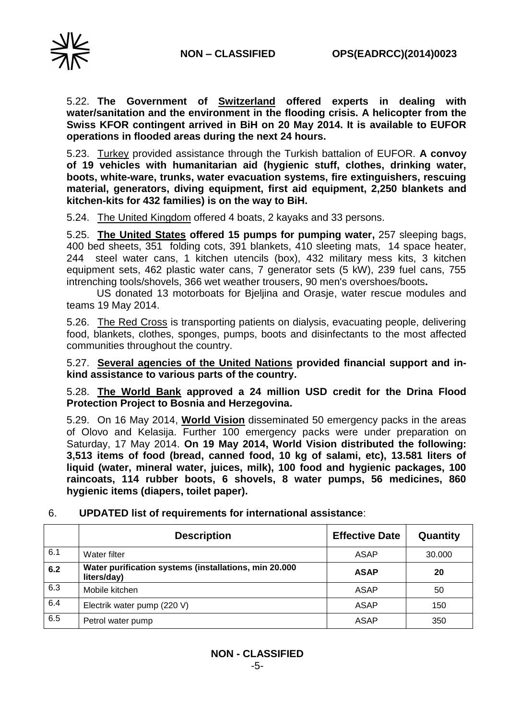

5.22. **The Government of Switzerland offered experts in dealing with water/sanitation and the environment in the flooding crisis. A helicopter from the Swiss KFOR contingent arrived in BiH on 20 May 2014. It is available to EUFOR operations in flooded areas during the next 24 hours.**

5.23. Turkey provided assistance through the Turkish battalion of EUFOR. **A convoy of 19 vehicles with humanitarian aid (hygienic stuff, clothes, drinking water, boots, white-ware, trunks, water evacuation systems, fire extinguishers, rescuing material, generators, diving equipment, first aid equipment, 2,250 blankets and kitchen-kits for 432 families) is on the way to BiH.**

5.24. The United Kingdom offered 4 boats, 2 kayaks and 33 persons.

5.25. **The United States offered 15 pumps for pumping water,** 257 sleeping bags, 400 bed sheets, 351 folding cots, 391 blankets, 410 sleeting mats, 14 space heater, 244 steel water cans, 1 kitchen utencils (box), 432 military mess kits, 3 kitchen equipment sets, 462 plastic water cans, 7 generator sets (5 kW), 239 fuel cans, 755 intrenching tools/shovels, 366 wet weather trousers, 90 men's overshoes/boots**.**

US donated 13 motorboats for Bjeljina and Orasje, water rescue modules and teams 19 May 2014.

5.26. The Red Cross is transporting patients on dialysis, evacuating people, delivering food, blankets, clothes, sponges, pumps, boots and disinfectants to the most affected communities throughout the country.

5.27. **Several agencies of the United Nations provided financial support and inkind assistance to various parts of the country.**

5.28. **The World Bank approved a 24 million USD credit for the Drina Flood Protection Project to Bosnia and Herzegovina.**

5.29. On 16 May 2014, **World Vision** disseminated 50 emergency packs in the areas of Olovo and Kelasija. Further 100 emergency packs were under preparation on Saturday, 17 May 2014. **On 19 May 2014, World Vision distributed the following: 3,513 items of food (bread, canned food, 10 kg of salami, etc), 13.581 liters of liquid (water, mineral water, juices, milk), 100 food and hygienic packages, 100 raincoats, 114 rubber boots, 6 shovels, 8 water pumps, 56 medicines, 860 hygienic items (diapers, toilet paper).**

|     | <b>Description</b>                                                   | <b>Effective Date</b> | Quantity |
|-----|----------------------------------------------------------------------|-----------------------|----------|
| 6.1 | Water filter                                                         | ASAP                  | 30,000   |
| 6.2 | Water purification systems (installations, min 20.000<br>liters/day) | <b>ASAP</b>           | 20       |
| 6.3 | Mobile kitchen                                                       | ASAP                  | 50       |
| 6.4 | Electrik water pump (220 V)                                          | ASAP                  | 150      |
| 6.5 | Petrol water pump                                                    | <b>ASAP</b>           | 350      |

### 6. **UPDATED list of requirements for international assistance**: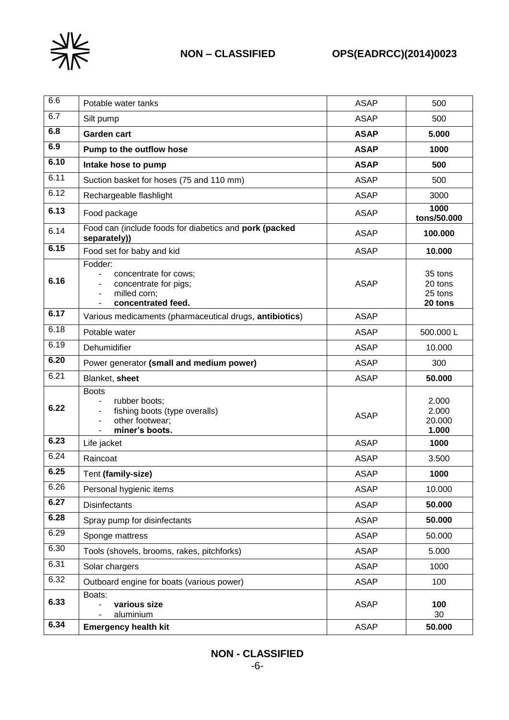

| 6.6  | Potable water tanks                                                                                                         | <b>ASAP</b> | 500                                      |
|------|-----------------------------------------------------------------------------------------------------------------------------|-------------|------------------------------------------|
| 6.7  | Silt pump                                                                                                                   | <b>ASAP</b> | 500                                      |
| 6.8  | <b>Garden cart</b>                                                                                                          | <b>ASAP</b> | 5.000                                    |
| 6.9  | Pump to the outflow hose                                                                                                    | <b>ASAP</b> | 1000                                     |
| 6.10 | Intake hose to pump                                                                                                         | <b>ASAP</b> | 500                                      |
| 6.11 | Suction basket for hoses (75 and 110 mm)                                                                                    | <b>ASAP</b> | 500                                      |
| 6.12 | Rechargeable flashlight                                                                                                     | <b>ASAP</b> | 3000                                     |
| 6.13 | Food package                                                                                                                | <b>ASAP</b> | 1000<br>tons/50.000                      |
| 6.14 | Food can (include foods for diabetics and pork (packed<br>separately))                                                      | <b>ASAP</b> | 100.000                                  |
| 6.15 | Food set for baby and kid                                                                                                   | <b>ASAP</b> | 10.000                                   |
| 6.16 | Fodder:<br>concentrate for cows;<br>concentrate for pigs;<br>milled corn;<br>$\overline{\phantom{a}}$<br>concentrated feed. | <b>ASAP</b> | 35 tons<br>20 tons<br>25 tons<br>20 tons |
| 6.17 | Various medicaments (pharmaceutical drugs, antibiotics)                                                                     | <b>ASAP</b> |                                          |
| 6.18 | Potable water                                                                                                               | <b>ASAP</b> | 500.000L                                 |
| 6.19 | Dehumidifier                                                                                                                | <b>ASAP</b> | 10.000                                   |
| 6.20 | Power generator (small and medium power)                                                                                    | <b>ASAP</b> | 300                                      |
| 6.21 | Blanket, sheet                                                                                                              | <b>ASAP</b> | 50.000                                   |
| 6.22 | <b>Boots</b><br>rubber boots;<br>fishing boots (type overalls)<br>other footwear;<br>miner's boots.                         | <b>ASAP</b> | 2.000<br>2.000<br>20.000<br>1.000        |
| 6.23 | Life jacket                                                                                                                 | <b>ASAP</b> | 1000                                     |
| 6.24 | Raincoat                                                                                                                    | <b>ASAP</b> | 3.500                                    |
| 6.25 | Tent (family-size)                                                                                                          | <b>ASAP</b> | 1000                                     |
| 6.26 | Personal hygienic items                                                                                                     | <b>ASAP</b> | 10.000                                   |
| 6.27 | <b>Disinfectants</b>                                                                                                        | <b>ASAP</b> | 50.000                                   |
| 6.28 | Spray pump for disinfectants                                                                                                | <b>ASAP</b> | 50.000                                   |
| 6.29 | Sponge mattress                                                                                                             | <b>ASAP</b> | 50.000                                   |
| 6.30 | Tools (shovels, brooms, rakes, pitchforks)                                                                                  | <b>ASAP</b> | 5.000                                    |
| 6.31 | Solar chargers                                                                                                              | <b>ASAP</b> | 1000                                     |
| 6.32 | Outboard engine for boats (various power)                                                                                   | <b>ASAP</b> | 100                                      |
| 6.33 | Boats:<br>various size<br>aluminium                                                                                         | <b>ASAP</b> | 100<br>30                                |
| 6.34 | <b>Emergency health kit</b>                                                                                                 | <b>ASAP</b> | 50.000                                   |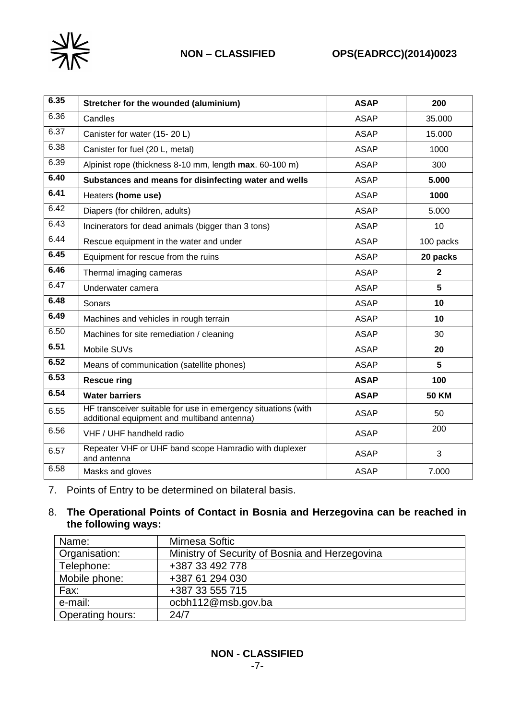

# **NON – CLASSIFIED OPS(EADRCC)(2014)0023**

| 6.35 | Stretcher for the wounded (aluminium)                                                                        | <b>ASAP</b> | 200            |
|------|--------------------------------------------------------------------------------------------------------------|-------------|----------------|
| 6.36 | Candles                                                                                                      | <b>ASAP</b> | 35.000         |
| 6.37 | Canister for water (15-20 L)                                                                                 | <b>ASAP</b> | 15.000         |
| 6.38 | Canister for fuel (20 L, metal)                                                                              | <b>ASAP</b> | 1000           |
| 6.39 | Alpinist rope (thickness 8-10 mm, length max. 60-100 m)                                                      | <b>ASAP</b> | 300            |
| 6.40 | Substances and means for disinfecting water and wells                                                        | <b>ASAP</b> | 5.000          |
| 6.41 | Heaters (home use)                                                                                           | <b>ASAP</b> | 1000           |
| 6.42 | Diapers (for children, adults)                                                                               | <b>ASAP</b> | 5.000          |
| 6.43 | Incinerators for dead animals (bigger than 3 tons)                                                           | <b>ASAP</b> | 10             |
| 6.44 | Rescue equipment in the water and under                                                                      | <b>ASAP</b> | 100 packs      |
| 6.45 | Equipment for rescue from the ruins                                                                          | <b>ASAP</b> | 20 packs       |
| 6.46 | Thermal imaging cameras                                                                                      | <b>ASAP</b> | $\overline{2}$ |
| 6.47 | Underwater camera                                                                                            | <b>ASAP</b> | 5              |
| 6.48 | Sonars                                                                                                       | <b>ASAP</b> | 10             |
| 6.49 | Machines and vehicles in rough terrain                                                                       | <b>ASAP</b> | 10             |
| 6.50 | Machines for site remediation / cleaning                                                                     | <b>ASAP</b> | 30             |
| 6.51 | Mobile SUVs                                                                                                  | <b>ASAP</b> | 20             |
| 6.52 | Means of communication (satellite phones)                                                                    | <b>ASAP</b> | 5              |
| 6.53 | <b>Rescue ring</b>                                                                                           | <b>ASAP</b> | 100            |
| 6.54 | <b>Water barriers</b>                                                                                        | <b>ASAP</b> | <b>50 KM</b>   |
| 6.55 | HF transceiver suitable for use in emergency situations (with<br>additional equipment and multiband antenna) | <b>ASAP</b> | 50             |
| 6.56 | VHF / UHF handheld radio                                                                                     | <b>ASAP</b> | 200            |
| 6.57 | Repeater VHF or UHF band scope Hamradio with duplexer<br>and antenna                                         | <b>ASAP</b> | 3              |
| 6.58 | Masks and gloves                                                                                             | <b>ASAP</b> | 7.000          |

7. Points of Entry to be determined on bilateral basis.

### 8. **The Operational Points of Contact in Bosnia and Herzegovina can be reached in the following ways:**

| Name:                   | Mirnesa Softic                                 |
|-------------------------|------------------------------------------------|
| Organisation:           | Ministry of Security of Bosnia and Herzegovina |
| Telephone:              | +387 33 492 778                                |
| Mobile phone:           | +387 61 294 030                                |
| Fax:                    | +387 33 555 715                                |
| e-mail:                 | ocbh112@msb.gov.ba                             |
| <b>Operating hours:</b> | 24/7                                           |